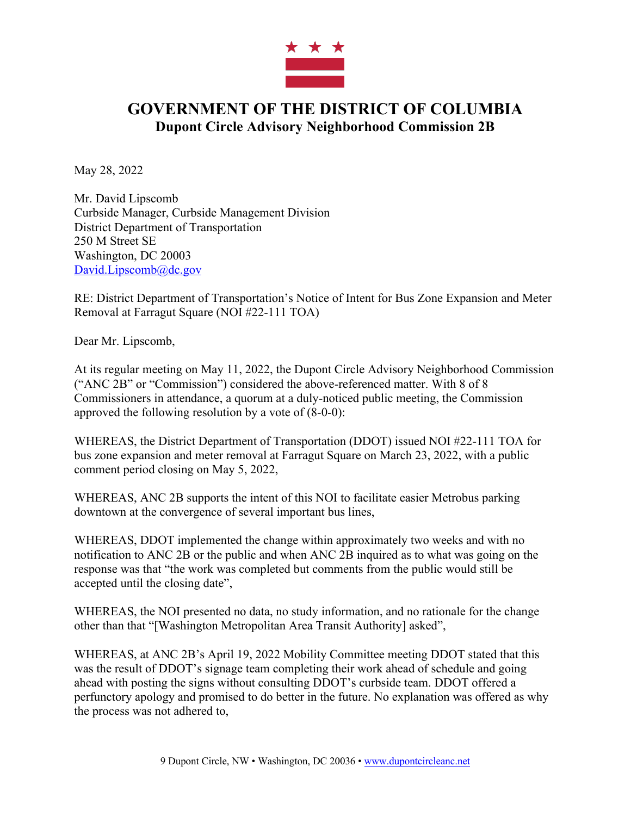

## **GOVERNMENT OF THE DISTRICT OF COLUMBIA Dupont Circle Advisory Neighborhood Commission 2B**

May 28, 2022

Mr. David Lipscomb Curbside Manager, Curbside Management Division District Department of Transportation 250 M Street SE Washington, DC 20003 David.Lipscomb@dc.gov

RE: District Department of Transportation's Notice of Intent for Bus Zone Expansion and Meter Removal at Farragut Square (NOI #22-111 TOA)

Dear Mr. Lipscomb,

At its regular meeting on May 11, 2022, the Dupont Circle Advisory Neighborhood Commission ("ANC 2B" or "Commission") considered the above-referenced matter. With 8 of 8 Commissioners in attendance, a quorum at a duly-noticed public meeting, the Commission approved the following resolution by a vote of (8-0-0):

WHEREAS, the District Department of Transportation (DDOT) issued NOI #22-111 TOA for bus zone expansion and meter removal at Farragut Square on March 23, 2022, with a public comment period closing on May 5, 2022,

WHEREAS, ANC 2B supports the intent of this NOI to facilitate easier Metrobus parking downtown at the convergence of several important bus lines,

WHEREAS, DDOT implemented the change within approximately two weeks and with no notification to ANC 2B or the public and when ANC 2B inquired as to what was going on the response was that "the work was completed but comments from the public would still be accepted until the closing date",

WHEREAS, the NOI presented no data, no study information, and no rationale for the change other than that "[Washington Metropolitan Area Transit Authority] asked",

WHEREAS, at ANC 2B's April 19, 2022 Mobility Committee meeting DDOT stated that this was the result of DDOT's signage team completing their work ahead of schedule and going ahead with posting the signs without consulting DDOT's curbside team. DDOT offered a perfunctory apology and promised to do better in the future. No explanation was offered as why the process was not adhered to,